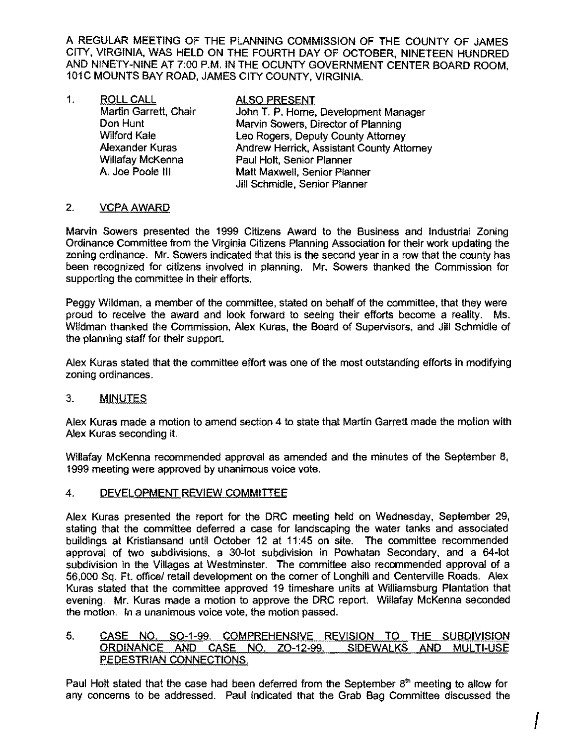A REGULAR MEETING OF THE PLANNING COMMISSION OF THE COUNTY OF JAMES CITY, VIRGINIA, WAS HELD ON THE FOURTH DAY OF OCTOBER, NINETEEN HUNDRED AND NINETY-NINE AT 7:00 P.M. IN THE OCUNTY GOVERNMENT CENTER BOARD ROOM, 101C MOUNTS BAY ROAD, JAMES CITY COUNTY, VIRGINIA.

1. ROLL CALL Chair ALSO PRESENT<br>Martin Garrett. Chair John T. P. Horne. John T. P. Horne, Development Manager **Don Hunt Marvin Sowers, Director of Planning<br>
Wilford Kale Marvin Sowers, Deputy County Attorney** Leo Rogers, Deputy County Attorney Alexander Kuras **Andrew Herrick. Assistant County Attorney** Willafay McKenna **Paul Holt, Senior Planner**<br>A. Joe Poole III **A. Paul Matt Maxwell, Senior Plan** Matt Maxwell, Senior Planner Jill Schmidle, Senior Planner

## 2. **VCPA AWARD**

Marvin Sowers presented the 1999 Citizens Award to the Business and Industrial Zoning Ordinance Committee from the Virginia Citizens Planning Association for their work updating the zoning ordinance. Mr. Sowers indicated that this is the second year in a row that the county has been recognized for citizens involved in planning. Mr. Sowers thanked the Commission for supporting the committee in their efforts.

Peggy Wildman, a member of the committee, stated on behalf of the committee, that they were proud to receive the award and look forward to seeing their efforts become a reality. Ms. Wildman thanked the Commission, Alex Kuras, the Board of Supervisors, and Jill Schmidle of the planning staff for their support.

Alex Kuras stated that the committee effort was one of the most outstanding efforts in modifying zoning ordinances.

### 3. **MINUTES**

Alex Kuras made a motion to amend section 4 to state that Martin Garrett made the motion with Alex Kuras seconding it.

Willafay McKenna recommended approval as amended and the minutes of the September 8, 1999 meeting were approved by unanimous voice vote.

#### 4. DEVELOPMENT REVIEW COMMITTEE

Alex Kuras presented the report for the DRC meeting held on Wednesday, September 29, stating that the committee deferred a case for landscaping the water tanks and associated buildings at Kristiansand until October 12 at 11:45 on site. The committee recommended approval of two subdivisions. a 30-Iot subdivision in Powhatan Secondary, and a 64-lot subdivision in the Villages at Westminster. The committee also recommended approval of a 56,000 Sq. Ft. officel retail development on the corner of Longhill and Centerville Roads. Alex Kuras stated that the committee approved 19 timeshare units at Williamsburg Plantation that evening. Mr. Kuras made a motion to approve the DRC report. Willafay McKenna seconded the motion. In a unanimous voice vote, the motion passed.

#### 5. CASE NO. SO-1-99. COMPREHENSIVE REVISION TO THE SUBDIVISION ORDINANCE AND CASE NO. ZO-12-99. SIDEWALKS AND MULTI-USE PEDESTRIAN CONNECTIONS.

Paul Holt stated that the case had been deferred from the September  $8<sup>th</sup>$  meeting to allow for any concerns to be addressed. Paul indicated that the Grab Bag Committee discussed the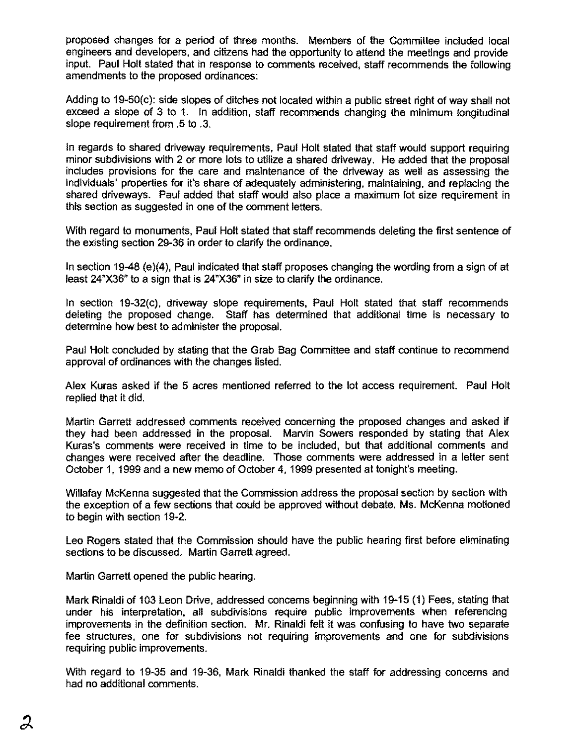proposed changes for a period of three months. Members of the Committee included local engineers and developers, and citizens had the opportunity to attend the meetings and provide input. Paul Holt stated that in response to comments received, staff recommends the following amendments to the proposed ordinances:

Adding to 19-50(c): side slopes of ditches not located within a public street right of way shall not exceed a slope of 3 to 1. In addition, staff recommends changing the minimum longitudinal slope requirement from .5 to .3,

In regards to shared driveway requirements, Paul Holt stated that staff would support requiring minor subdivisions with 2 or more lots to utilize a shared driveway. He added that the proposal includes provisions for the care and maintenance of the driveway as well as assessing the individuals' properties for it's share of adequately administering, maintaining, and replacing the shared driveways. Paul added that staff would also place a maximum lot size requirement in this section as suggested in one of the comment letters.

With regard to monuments, Paul Holt stated that staff recommends deleting the first sentence of the existing section 29-36 in order to clarify the ordinance.

In section 19-48 (e)(4), Paul indicated that staff proposes changing the wording from a sign of at least 24"X36" to a sign that is 24"X36" in size to clarify the ordinance.

In section 19-32(c), driveway slope requirements, Paul Holt stated that staff recommends deleting the proposed change. Staff has determined that additional time is necessary to determine how best to administer the proposal.

Paul Holt concluded by stating that the Grab Bag Committee and staff continue to recommend approval of ordinances with the changes listed.

Alex Kuras asked if the 5 acres mentioned referred to the lot access requirement. Paul Holt replied that it did.

Martin Garrett addressed comments received concerning the proposed changes and asked if they had been addressed in the proposal. Marvin Sowers responded by stating that Alex Kuras's comments were received in time to be included, but that additional comments and changes were received after the deadline. Those comments were addressed in a letter sent October 1, 1999 and a new memo of October 4. 1999 presented at tonight's meeting.

Willafay McKenna suggested that the Commission address the proposal section by section with the exception of a few sections that could be approved without debate. Ms. McKenna motioned to begin with section 19·2.

Leo Rogers stated that the Commission should have the public hearing first before eliminating sections to be discussed. Martin Garrett agreed,

Martin Garrett opened the public hearing.

Mark Rinaldi of 103 Leon Drive. addressed concems beginning with 19-15 (1) Fees. stating that under his interpretation. all subdivisions require public improvements when referencing improvements in the definition section. Mr. Rinaldi felt it was confusing to have two separate fee structures. one for subdivisions not requiring improvements and one for subdivisions requiring public improvements.

With regard to 19-35 and 19-36, Mark Rinaldi thanked the staff for addressing concerns and had no additional comments.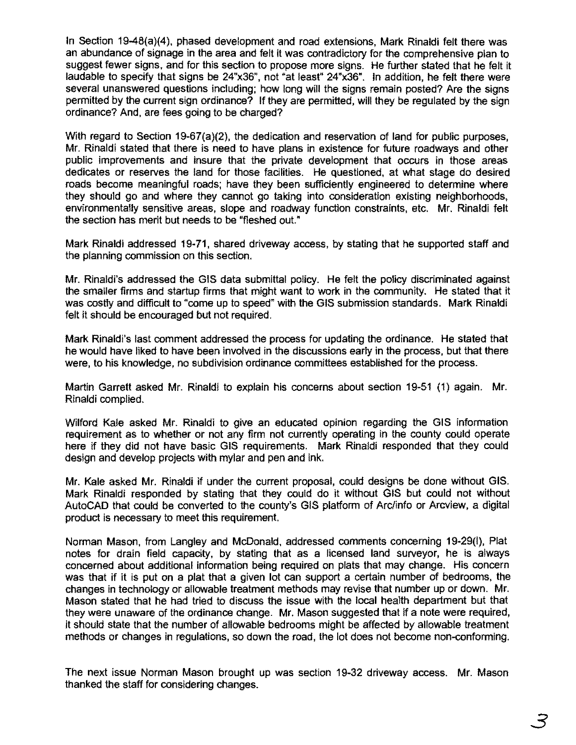In section 19-48(a)(4), phased development and road extensions, Mark Rinaldi felt there was an abundance of signage in the area and felt it was contradictory for the comprehensive plan to suggest fewer signs, and for this section to propose more signs. He further stated that he felt it laudable to specify that signs be 24"x36", not "at least" 24"x36". In addition, he felt there were several unanswered questions including; how long will the signs remain posted? Are the signs permitted by the current sign ordinance? If they are permitted, will they be regulated by the sign ordinance? And, are fees going to be charged?

With regard to Section 19-67(a)(2), the dedication and reservation of land for public purposes, Mr. Rinaldi stated that there is need to have plans in existence for future roadways and other public improvements and insure that the private development that occurs in those areas dedicates or reserves the land for those facilities. He questioned, at what stage do desired roads become meaningful roads; have they been sufficiently engineered to determine where they should go and where they cannot go taking into consideration existing neighborhoods, environmentally sensitive areas, slope and roadway function constraints, etc. Mr. Rinaldi felt the section has merit but needs to be "fleshed out."

Mark Rinaldi addressed 19-71, shared driveway access, by stating that he supported staff and the planning commission on this section.

Mr. Rinaldi's addressed the GIS data submittal policy. He felt the policy discriminated against the smaller firms and startup firms that might want to work in the community. He stated that it was costly and difficult to "come up to speed" with the GIS submission standards. Mark Rinaldi felt it should be encouraged but not required.

Mark Rinaldi's last comment addressed the process for updating the ordinance. He stated that he would have liked to have been involved in the discussions early in the process, but that there were, to his knowledge, no subdivision ordinance committees established for the process.

Martin Garrett asked Mr. Rinaldi to explain his concerns about section 19-51 (1) again. Mr. Rinaldi complied.

Wilford Kale asked Mr. Rinaldi to give an educated opinion regarding the GIS information requirement as to whether or not any firm not currently operating in the county could operate here if they did not have basic GIS requirements. Mark Rinaldi responded that they could design and develop projects with mylar and pen and ink.

Mr. Kale asked Mr. Rinaldi if under the current proposal, could designs be done without GIS. Mark Rinaldi responded by stating that they could do it without GIS but could not without AutoCAD that could be converted to the county's GIS platform of Arc/info or Arcview, a digital product is necessary to meet this requirement.

Norman Mason, from Langley and McDonald, addressed comments concerning 19-29(1), Plat notes for drain field capacity, by stating that as a licensed land surveyor, he is always concerned about additional information being required on plats that may change. His concern was that if it is put on a plat that a given lot can support a certain number of bedrooms, the changes in technology or allowable treatment methods may revise that number up or down. Mr. Mason stated that he had tried to discuss the issue with the local health department but that they were unaware of the ordinance change. Mr. Mason suggested that if a note were required, it should state that the number of allowable bedrooms might be affected by allowable treatment methods or changes in regulations, so down the road, the lot does not become non-conforming.

The next issue Norman Mason brought up was section 19-32 driveway access. Mr. Mason thanked the staff for considering changes.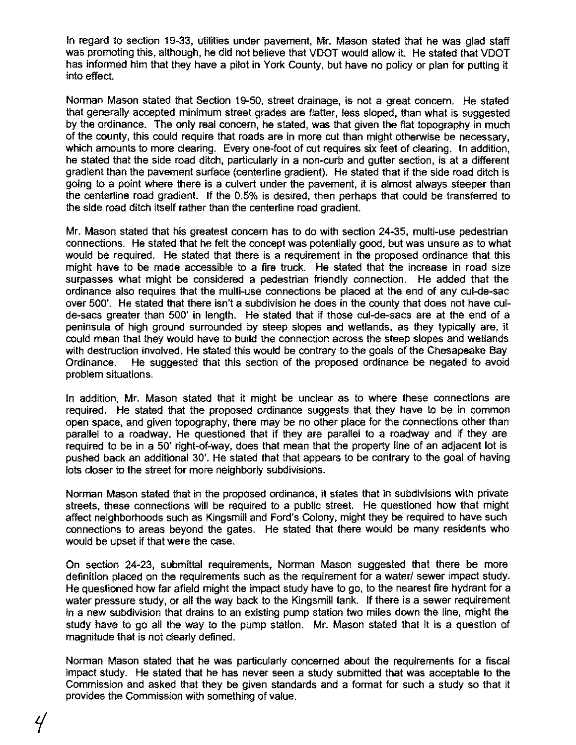In regard to section 19-33, utilities under pavement, Mr. Mason stated that he was glad staff was promoting this, although, he did not believe that VDOT would allow it. He stated that VDOT has informed him that they have a pilot in York County, but have no policy or plan for putting it into effect.

Norman Mason stated that Section 19-50, street drainage, is not a great concern. He stated that generally accepted minimum street grades are flatter, less sloped, than what is suggested by the ordinance. The only real concern, he stated, was that given the flat topography in much of the county, this could require that roads are in more cut than might otherwise be necessary, which amounts to more clearing. Every one-foot of cut requires six feet of clearing. In addition, he stated that the side road ditch, particularly in a non-curb and gutter section, is at a different gradient than the pavement surface (centerline gradient). He stated that if the side road ditch is going to a point where there is a culvert under the pavement, it is almost always steeper than the centerline road gradient. If the 0.5% is desired, then perhaps that could be transferred to the side road ditch itself rather than the centerline road gradient.

Mr. Mason stated that his greatest concern has to do with section 24-35, multi-use pedestrian connections. He stated that he felt the concept was potentially good, but was unsure as to what would be required. He stated that there is a requirement in the proposed ordinance that this might have to be made accessible to a fire truck. He stated that the increase in road size surpasses what might be considered a pedestrian friendly connection. He added that the ordinance also requires that the multi-use connections be placed at the end of any cul-de-sac over 500'. He stated that there isn't a subdivision he does in the county that does not have culde-sacs greater than 500' in length. He stated that if those cul-de-sacs are at the end of a peninsula of high ground surrounded by steep slopes and wetlands, as they typically are, it could mean that they would have to build the connection across the steep slopes and wetlands with destruction involved. He stated this would be contrary to the goals of the Chesapeake Bay Ordinance. He suggested that this section of the proposed ordinance be negated to avoid problem situations.

In addition, Mr. Mason stated that it might be unclear as to where these connections are required. He stated that the proposed ordinance suggests that they have 10 be in common open space, and given topography, there may be no other place for the connections other than parallel to a roadway. He questioned that if they are parallel to a roadway and if they are required to be in a 50' right-of-way, does that mean that the property line of an adjacent lot is pushed back an additional 30'. He stated that that appears to be contrary to the goal of having lots closer to the street for more neighborly subdivisions.

Norman Mason stated that in the proposed ordinance, it states that in subdivisions with private streets, these connections will be required to a public street. He questioned how that might affect neighborhoods such as Kingsmill and Ford's Colony, might they be required to have such connections to areas beyond the gates. He stated that there would be many residents who would be upset if that were the case.

On section 24-23, submittal requirements, Norman Mason suggested that there be more definition placed on the requirements such as the requirement for a water/ sewer impact study. He questioned how far afield might the impact study have to go, to the nearest fire hydrant for a water pressure study, or all the way back to the Kingsmill tank. If there is a sewer requirement in a new subdivision that drains to an existing pump station two miles down the line, might the study have to go all the way to the pump station. Mr. Mason stated that it is a question of magnitude that is not clearly defined.

Norman Mason stated that he was particularly concerned about the requirements for a fiscal impact study. He stated that he has never seen a study submitted that was acceptable to the Commission and asked that they be given standards and a fonmat for such a study so that it provides the Commission with something of value.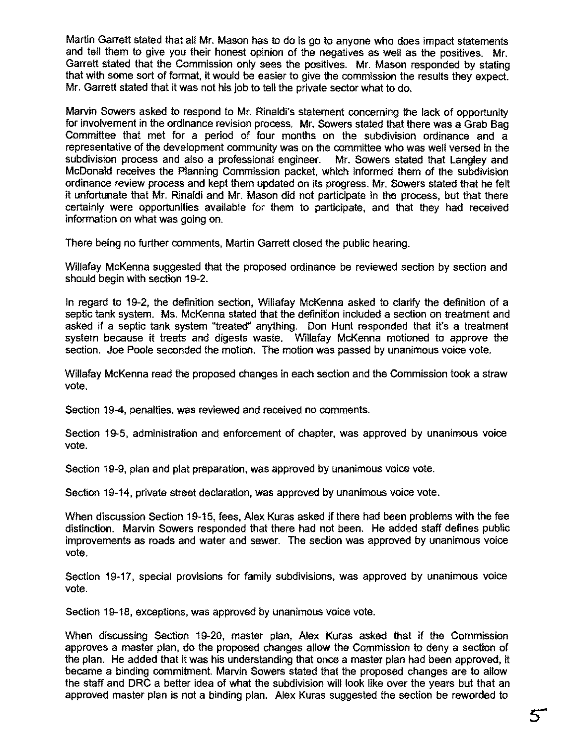Martin Garrett stated that all Mr. Mason has to do is go to anyone who does impact statements and tell them to give you their honest opinion of the negatives as well as the positives. Mr. Garrett stated that the Commission only sees the positives. Mr. Mason responded by stating that with some sort of format, it would be easier to give the commission the results they expect. Mr. Garrett stated that it was not his job to tell the private sector what to do.

Marvin Sowers asked to respond to Mr. Rinaldi's statement concerning the lack of opportunity for involvement in the ordinance revision process. Mr. Sowers stated that there was a Grab Bag Committee that met for a period of four months on the subdivision ordinance and a representative of the development community was on the committee who was well versed in the subdivision process and also a professional engineer. Mr. Sowers stated that Langley and McDonald receives the Planning Commission packet, which informed them of the subdivision ordinance review process and kept them updated on its progress. Mr. Sowers stated that he felt it unfortunate that Mr. Rinaldi and Mr. Mason did not participate in the process, but that there certainly were opportunities available for them to participate, and that they had received information on what was going on.

There being no further comments, Martin Garrett closed the public hearing.

Willafay McKenna suggested that the proposed ordinance be reviewed section by section and should begin with section 19-2.

In regard to 19-2, the definition section, Willafay McKenna asked to clarify the definition of a septic tank system. Ms. McKenna stated that the definition included a section on treatment and asked if a septic tank system "treated" anything. Don Hunt responded that it's a treatment system because it treats and digests waste. Willafay McKenna motioned to approve the section. Joe Poole seconded the motion. The motion was passed by unanimous voice vote.

Willafay McKenna read the proposed changes in each section and the Commission took a straw vote.

Section 19-4, penalties, was reviewed and received no comments.

Section 19-5, administration and enforcement of chapter, was approved by unanimous voice vote.

Section 19-9, plan and plat preparation, was approved by unanimous voice vote.

Section 19-14, private street declaration, was approved by unanimous voice vote.

When discussion Section 19-15, fees, Alex Kuras asked if there had been problems with the fee distinction. Marvin Sowers responded that there had not been. He added staff defines public improvements as roads and water and sewer, The section was approved by unanimous voice vote,

Section 19-17, special provisions for family subdivisions, was approved by unanimous voice vote,

Section 19-18, exceptions, was approved by unanimous voice vote.

When discussing Section 19-20, master plan, Alex Kuras asked that if the Commission approves a master plan, do the proposed changes allow the Commission to deny a section of the plan. He added that it was his understanding that once a master plan had been approved, it became a binding commitment. Marvin Sowers stated that the proposed changes are to allow the staff and DRC a better idea of what the subdivision will look like over the years but that an approved master plan is not a binding plan. Alex Kuras suggested the section be reworded to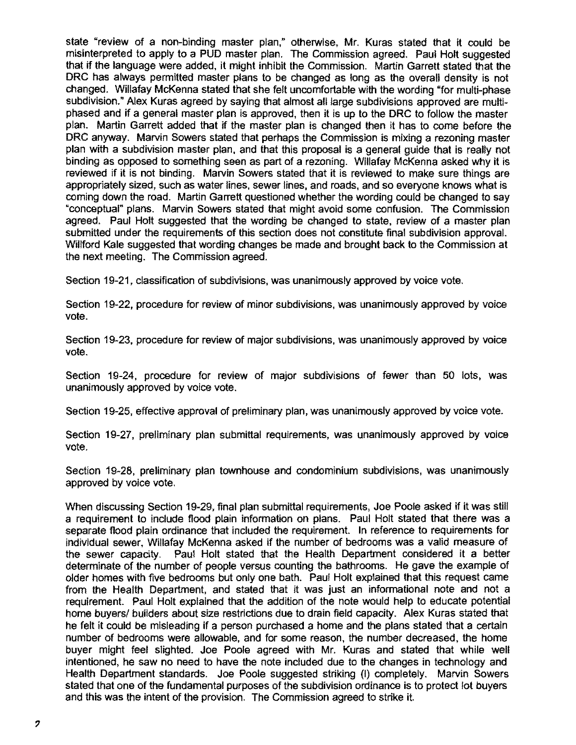state "review of a non-binding master plan; otherwise, Mr. Kuras stated that it could be misinterpreted to apply to a PUD master plan. The Commission agreed. Paul Holt suggested that if the language were added, it might inhibit the Commission. Martin Garrell stated that the DRC has always permitted master plans to be changed as long as the overall density is not changed. Willafay McKenna stated that she felt uncomfortable with the wording "for multi-phase subdivision.' Alex Kuras agreed by saying that almost all large subdivisions approved are multiphased and if a general master plan is approved, then it is up to the DRC to follow the master plan. Martin Garrett added that if the master plan is changed then it has to come before the DRC anyway. Marvin Sowers stated that perhaps the Commission is mixing a rezoning master plan with a subdivision master plan, and that this proposal is a general guide that is really not binding as opposed to something seen as part of a rezoning. Willafay McKenna asked why it is reviewed if it is not binding. Marvin Sowers stated that it is reviewed to make sure things are appropriately sized, such as water lines, sewer lines, and roads, and so everyone knows what is coming down the road. Martin Garrett questioned whether the wording could be changed to say "conceptual" plans. Marvin Sowers stated that might avoid some confusion. The Commission agreed. Paul Holt suggested that the wording be changed to state, review of a master plan submitted under the requirements of this section does not constitute final subdivision approval. Willford Kale suggested that wording changes be made and brought back to the Commission at the next meeting. The Commission agreed.

Section 19-21, classification of subdivisions, was unanimously approved by voice vote.

Section 19-22, procedure for review of minor subdivisions, was unanimously approved by voice vote.

Section 19-23, procedure for review of major subdivisions, was unanimously approved by voice vote.

Section 19-24, procedure for review of major subdivisions of fewer than 50 lots, was unanimously approved by voice vote.

Section 19-25, effective approval of preliminary plan, was unanimously approved by voice vote.

Section 19-27, preliminary plan submittal requirements, was unanimously approved by voice vote.

Section 19-28, preliminary plan townhouse and condominium subdivisions, was unanimously approved by voice vote.

When discussing Section 19-29, final plan submittal requirements, Joe Poole asked if it was still a requirement to include flood plain infonmation on plans. Paul Holt stated that there was a separate flood plain ordinance that included the requirement. In reference to requirements for individual sewer, Willafay McKenna asked if the number of bedrooms was a valid measure of the sewer capacity. Paul Holt stated that the Health Department considered it a better determinate of the number of people versus counting the bathrooms. He gave the example of older homes with five bedrooms but only one bath. Paul Holt explained that this request came from the Health Department, and stated that it was just an informational note and not a requirement. Paul Holt explained that the addition of the note would help to educate potential home buyers/ builders about size restrictions due to drain field capacity. Alex Kuras stated that he felt it could be misleading if a person purchased a home and the plans stated that a certain number of bedrooms were allowable, and for some reason, the number decreased, the home buyer might feel slighted. Joe Poole agreed with Mr. Kuras and stated that while well intentioned, he saw no need to have the note included due to the changes in technology and Health Department standards. Joe Poole suggested striking (I) completely. Marvin Sowers stated that one of the fundamental purposes of the subdivision ordinance is to protect lot buyers and this was the intent of the provision. The Commission agreed to strike it.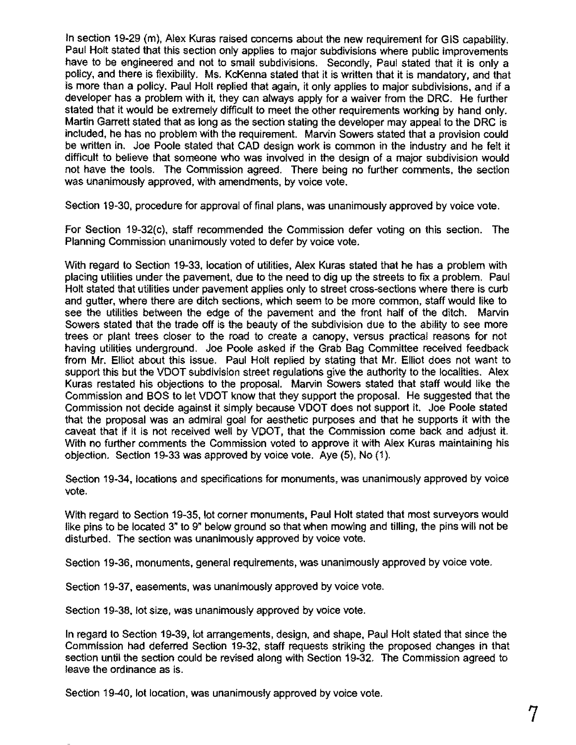In section 19-29 (m), Alex Kuras raised concems about Ihe new requirement for GIS capability. Paul Holt stated that this section only applies to major subdivisions where public improvements have to be engineered and not to small subdivisions. Secondly, Paul stated that it is only a policy, and there is flexibility. Ms. KcKenna stated that it is written that it is mandatory, and that is more than a policy. Paul Holt replied that again, it only applies to major subdivisions, and if a developer has a problem with it, they can always apply for a waiver from the DRC. He further stated that it would be extremely difficult to meet the other requirements working by hand only. Martin Garrett stated that as long as the seclion stating the developer may appeal to the DRC is included, he has no problem with the requirement. Marvin Sowers staled that a provision could be written in. Joe Poole stated that CAD design work is common in the industry and he felt it difficult to believe that someone who was involved in Ihe design of a major subdivision would not have the tools. The Commission agreed. There being no further comments, the section was unanimously approved, with amendments, by voice vote.

Section 19-30, procedure for approval of final plans, was unanimously approved by voice vote.

For Section 19-32(c), staff recommended the Commission defer voting on this section. The Planning Commission unanimously voted to defer by voice vote.

With regard to Section 19-33, location of utilities, Alex Kuras staled that he has a problem with placing utilities under the pavement, due to the need to dig up the streets to fix a problem. Paul Holt stated that utilities under pavement applies only to street cross-sections where there is curb and gutter, where there are ditch sections, which seem to be more common, staff would like to see the utilities between the edge of the pavement and the front half of the ditch. Marvin Sowers stated that the trade off is the beauty of the subdivision due to the ability to see more trees or plant trees closer to the road to create a canopy, versus practical reasons for not having utilities underground. Joe Poole asked if the Grab Bag Committee received feedback from Mr. Elliot about this issue. Paul Holt replied by stating that Mr. Elliot does not want to support this but the VDOT subdivision street regulations give the authority to the localities. Alex Kuras restated his objections to the proposal. Marvin Sowers stated that staff would like the Commission and BOS to let VDOT know that they support the proposal. He suggested that the Commission not decide against it simply because VDOT does not support it. Joe Poole stated that the proposal was an admiral goal for aesthetic purposes and that he supports it with the caveat that if it is not received well by VDOT, that the Commission come back and adjust it. With no further comments the Commission voted to approve it with Alex Kuras maintaining his objection. Section 19-33 was approved by voice vote. Aye (5), No (1).

Section 19-34, locations and specifications for monuments, was unanimously approved by voice vote.

With regard to Section 19-35, lot corner monuments, Paul Holt stated that most surveyors would like pins to be located 3" to 9" below ground so that when mowing and tilling, the pins will not be disturbed. The section was unanimously approved by voice vote.

Section 19-36, monuments, general requirements, was unanimously approved by voice vote.

Section 19-37, easements, was unanimously approved by voice vote.

Section 19-38, lot size, was unanimously approved by voice vote.

In regard to Section 19-39, lot arrangements, design, and shape, Paul Holt stated that since the Commission had deferred Section 19-32, staff requests striking the proposed changes in that section until the section could be revised along with Section 19-32. The Commission agreed to leave the ordinance as is.

Section 19-40, lot location, was unanimously approved by voice vote.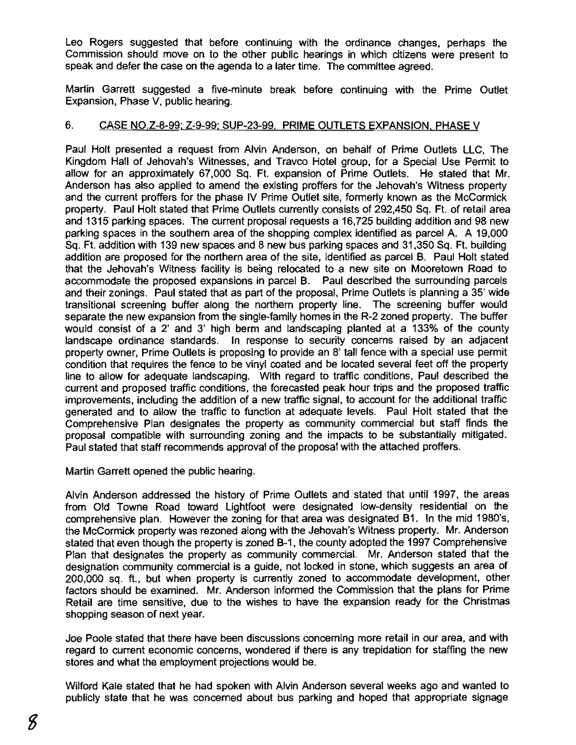Leo Rogers suggested that before continuing with the ordinance changes, perhaps the Commission should move on to the other public hearings in which citizens were present to speak and defer the case on the agenda to a later time. The committee agreed.

Martin Garrett suggested a five-minute break before continuing with the Prime Outlet Expansion, Phase V, public hearing.

### 6. CASE NO.Z-8-99: Z-9-99: SUP-23-99. PRIME OUTLETS EXPANSION. PHASE V

Paul Holt presented a request from Alvin Anderson, on behalf of Prime Outlets LLC, The Kingdom Hall of Jehovah's Witnesses, and Travco Hotel group, for a Special Use Permit to allow for an approximately 67,000 Sq. Ft. expansion of Prime Outlets. He stated that Mr. Anderson has also applied to amend the existing proffers for the Jehovah's Witness property and the current proffers for the phase IV Prime Outlet site, formerly known as the McCormick property. Paul Holt stated that Prime Outlets currently consists of 292,450 Sq. Ft. of retail area and 1315 parking spaces. The current proposal requests a 16,725 building addition and 98 new parking spaces in the southern area of the shopping complex identified as parcel A. A 19,000 Sq. Ft. addition with 139 new spaces and 8 new bus parking spaces and 31,350 Sq. Ft. building addition are proposed for the northern area of the site, identified as parcel B. Paul Holt stated that the Jehovah's Witness facility is being relocated to a new site on Mooretown Road to accommodate the proposed expansions in parcel B. Paul described the surrounding parcels and their zonings. Paul stated that as part of the proposal, Prime Outlets is planning a 35' wide transitional screening buffer along the northern property line. The screening buffer would separate the new expansion from the single-family homes in the R-2 zoned property. The buffer would consist of a 2' and 3' high berm and landscaping planted at a 133% of the county landscape ordinance standards. In response to security concerns raised by an adjacent property owner, Prime Outlets is proposing to provide an 8' tall fence with a special use permit condition that requires the fence to be vinyl coated and be located several feet off the property line to allow for adequate landscaping. With regard to traffic conditions, Paul described the current and proposed traffic conditions, the forecasted peak hour trips and the proposed traffic improvements, including the addition of a new traffic signal, to account for the additional traffic generated and to allow the traffic to function at adequate levels. Paul Holt stated that the Comprehensive Plan designates the property as community commercial but staff finds the proposal compatible with surrounding zoning and the impacts to be substantially mitigated. Paul stated that staff recommends approval of the proposal with the attached proffers.

Martin Garrett opened the public hearing.

Alvin Anderson addressed the history of Prime Outlets and stated that until 1997, the areas from Old Towne Road toward Lightfoot were designated low-density residential on the comprehensive plan. However the zoning for that area was designated B1. In the mid 1980's, the McCormick property was rezoned along with the Jehovah's Witness property. Mr. Anderson stated that even though the property is zoned B-1, the county adopted the 1997 Comprehensive Plan that designates the property as community commercial. Mr. Anderson stated that the designation community commercial is a guide, not locked in stone, which suggests an area of 200,000 sq. ft., but when property is currently zoned to accommodate development, other factors should be examined. Mr. Anderson informed the Commission that the plans for Prime Retail are time sensitive, due to the wishes to have the expansion ready for the Christmas shopping season of next year.

Joe Poole stated that there have been discussions concerning more retail in our area, and with regard to current economic concerns, wondered if there is any trepidation for staffing the new stores and what the employment projections would be.

Wilford Kale stated that he had spoken with Alvin Anderson several weeks ago and wanted to publicly state that he was concerned about bus parking and hoped that appropriate signage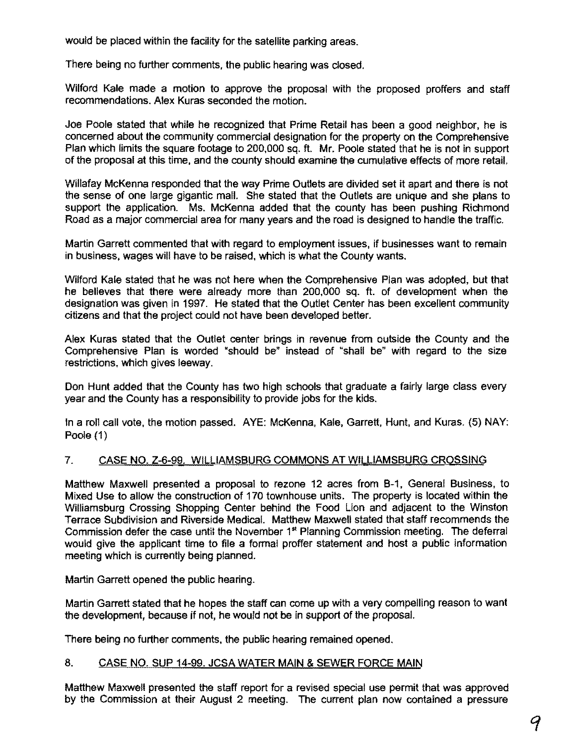would be placed within the facility for the satellite parking areas.

There being no further comments, the public hearing was dosed.

Wilford Kale made a motion to approve the proposal with the proposed proffers and staff recommendations. Alex Kuras seconded the motion.

Joe Poole stated that while he recognized that Prime Retail has been a good neighbor, he is concerned about the community commercial designation for the property on the Comprehensive Plan which limits the square footage to 200,000 sq. ft. Mr. Poole stated that he is not in support of the proposal at this time, and the county should examine the cumulative effects of more retail.

Willafay McKenna responded that the way Prime Outlets are divided set it apart and there is not the sense of one large gigantic mall. She stated that the Outlets are unique and she plans to support the application. Ms. McKenna added that the county has been pushing Richmond Road as a major commercial area for many years and the road is designed to handle the traffic.

Martin Garrett commented that with regard to employment issues, if businesses want to remain in business, wages will have to be raised, which is what the County wants.

Wilford Kale stated that he was not here when the Comprehensive Plan was adopted, but that he believes that there were already more than 200,000 sq. fl. of development when the designation was given in 1997. He stated that the Outlet Center has been excellent community citizens and that the project could not have been developed better.

Alex Kuras stated that the Outlet center brings in revenue from outside the County and the Comprehensive Plan is worded 'should be" instead of 'shall be" with regard to the size restrictions, which gives leeway.

Don Hunt added that the County has two high schools that graduate a fairly large dass every year and the County has a responsibility to provide jobs for the kids.

In a roll call vote, the motion passed. AYE: McKenna, Kale, Garrett, Hunt, and Kuras. (5) NAY: Poole (1)

# 7. CASE NO. Z-6·99. WILLIAMSBURG COMMONS AT WILLIAMSBURG CROSSING

Matthew Maxwell presented a proposal to rezone 12 acres from B-1, General Business, to Mixed Use to allow the construction of 170 townhouse units. The property is located within the Williamsburg Crossing Shopping Center behind the Food Lion and adjacent to the Winston Terrace Subdivision and Riverside Medical. Matthew Maxwell stated that staff recommends the Commission defer the case until the November 1<sup>st</sup> Planning Commission meeting. The deferral would give the applicant time to file a formal proffer statement and host a public information meeting which is currently being planned.

Martin Garrett opened the public hearing.

Martin Garrett stated that he hopes the staff can come up with a very compelling reason to want the development, because if not, he would not be in support of the proposal.

There being no further comments. the public hearing remained opened.

### 8. CASE NO. SUP 14-99. JCSA WATER MAIN & SEWER FORCE MAIN

Matthew Maxwell presented the staff report for a revised special use permit that was approved by the Commission at their August 2 meeting. The current plan now contained a pressure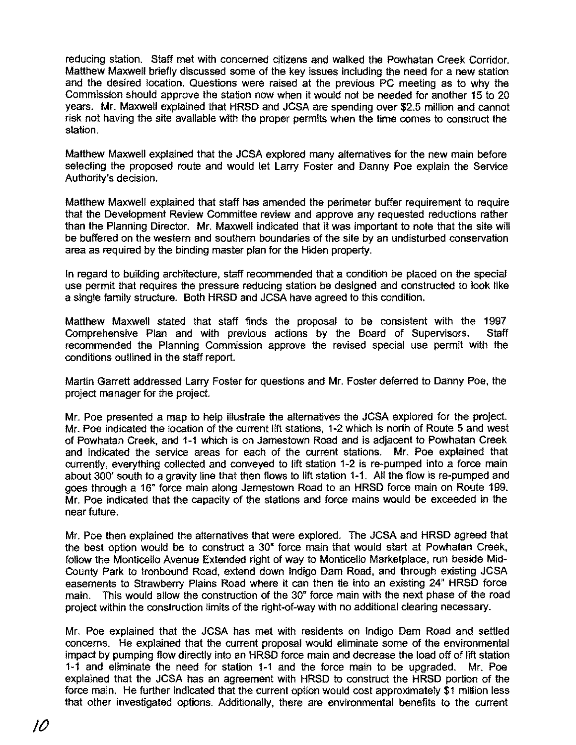reducing station. Staff met with concemed citizens and walked the Powhatan Creek Corridor. Matthew Maxwell briefly discussed some of the key issues including the need for a new station and the desired location. Questions were raised at the previous PC meeting as to why the Commission should approve the station now when it would not be needed for another 15 to 20 years. Mr. Maxwell explained that HRSD and JCSA are spending over \$2.5 million and cannot risk not having the site available with the proper permits when the time comes to construct the station.

Matthew Maxwell explained that the JCSA explored many alternatives for the new main before selecting the proposed route and would let Larry Foster and Danny Poe explain the Service Authority's decision.

Matthew Maxwell explained that staff has amended the perimeter buffer requirement to require that the Development Review Committee review and approve any requested reductions rather than the Planning Director. Mr. Maxwell indicated that it was important to note that the site will be buffered on the western and southem boundaries of the site by an undisturbed conservation area as required by the binding master plan for the Hiden property.

In regard to building architecture, staff recommended that a condition be placed on the special use permit that requires the pressure reducing station be designed and constructed to look like a single family structure. Both HRSD and JCSA have agreed to this condition.

Matthew Maxwell stated that staff finds the proposal to be consistent with the 1997 Comprehensive Plan and with previous actions by the Board of Supervisors. Staff recommended the Planning Commission approve the revised special use permit with the conditions outlined in the staff report.

Martin Garrett addressed Larry Foster for questions and Mr. Foster deferred to Danny Poe, the project manager for the project.

Mr. Poe presented a map to help illustrate the alternatives the JCSA explored for the project. Mr. Poe indicated the location of the current lift stations, 1-2 which is north of Route 5 and west of Powhatan Creek, and 1-1 which is on Jamestown Road and is adjacent to Powhatan Creek and indicated the service areas for each of the current stations. Mr. Poe explained that currently, everything collected and conveyed to lift station 1-2 is re-pumped into a force main about 300' south to a gravity line that then flows to lift station 1-1. All the flow is re-pumped and goes through a 16" force main along Jamestown Road to an HRSD force main on Route 199. Mr. Poe indicated that the capacity of the stations and force mains would be exceeded in the near future.

Mr. Poe then explained the alternatives that were explored. The JCSA and HRSD agreed that the best option would be to construct a 30' force main that would start at Powhatan Creek, follow the Monticello Avenue Extended right of way to Monticello Marketplace. run beside Mid-County Park to Ironbound Road. extend down Indigo Dam Road. and through existing JCSA easements to Strawberry Plains Road where it can then tie into an existing 24" HRSD force main. This would allow the construction of the 30" force main with the next phase of the road project within the construction limits of the right-of-way with no additional clearing necessary.

Mr. Poe explained that the JCSA has met with residents on Indigo Dam Road and settled concems. He explained that the current proposal would eliminate some of the environmental impact by pumping flow directly into an HRSD force main and decrease the load off of lift station 1-1 and eliminate the need for station 1-1 and the force main to be upgraded. Mr. Poe explained that the JCSA has an agreement with HRSD to construct the HRSD portion of the force main. He further indicated that the current option would cost approximately \$1 million less that other investigated options. Additionally. there are environmental benefits to the current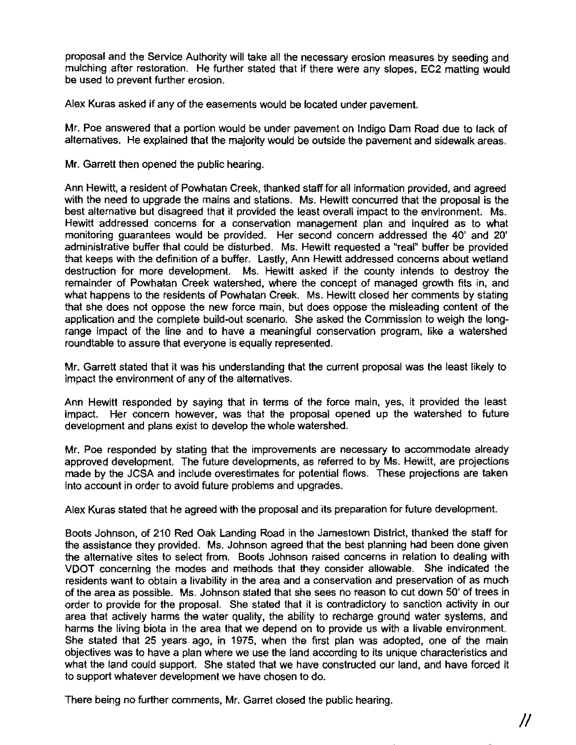proposal and the Service Authority will take all the necessary erosion measures by seeding and mulching after restoration. He further stated that if there were any slopes, EC2 matting would be used to prevent further erosion.

Alex Kuras asked if any of the easements would be located under pavement.

Mr. Poe answered that a portion would be under pavement on Indigo Dam Road due to lack of alternatives. He explained that the majority would be outside the pavement and sidewalk areas.

Mr. Garrett then opened the public hearing.

Ann Hewitt, a resident of Powhatan Creek, thanked staff for all information provided, and agreed with the need to upgrade the mains and stations. Ms. Hewitt concurred that the proposal is the best alternative but disagreed that it provided the least overall impact to the environment. Ms. Hewitt addressed concerns for a conservation management plan and inquired as to what monitoring guarantees would be provided. Her second concern addressed the 40' and 20' administrative buffer that could be disturbed. Ms. Hewitt requested a "real" buffer be provided that keeps with the definition of a buffer. Lastly, Ann Hewitt addressed concerns about wetland destruction for more development. Ms. Hewitt asked if the county intends to destroy the remainder of Powhatan Creek watershed, where the concept of managed growth fits in, and what happens to the residents of Powhatan Creek. Ms. Hewitt closed her comments by stating that she does not oppose the new force main, but does oppose the misleading content of the application and the complete build-out scenario. She asked the Commission to weigh the longrange impact of the line and to have a meaningful conservation program, like a watershed roundtable to assure that everyone is equally represented.

Mr. Garrett stated that it was his understanding that the current proposal was the least likely to impact the environment of any of the alternatives.

Ann Hewitt responded by saying that in terms of the force main, yes, it provided the least impact. Her concern however, was that the proposal opened up the watershed to future development and plans exist to develop the whole watershed.

Mr. Poe responded by stating that the improvements are necessary to accommodate already approved development. The future developments, as referred to by Ms. Hewitt, are projections made by the JCSA and include overestimates for potential flows. These projections are taken into account in order to avoid future problems and upgrades.

Alex Kuras stated that he agreed with the proposal and its preparation for future development.

Boots Johnson, of 210 Red Oak Landing Road in the Jamestown District, thanked the staff for the assistance they provided. Ms. Johnson agreed that the best planning had been done given the alternative sites to select from. Boots Johnson raised concerns in relation to dealing with VDOT concerning the modes and methods that they consider allowable. She indicated the residents want to obtain a livability in the area and a conservation and preservation of as much of the area as possible. Ms. Johnson stated that she sees no reason to cut down 50' of trees in order to provide for the proposal. She stated that it is contradictory to sanction activity in our area that actively harms the water quality, the ability to recharge ground water systems, and harms the living biota in the area that we depend on to provide us with a livable environment. She stated that 25 years ago, in 1975, when the first plan was adopted, one of the main objectives was to have a plan where we use the land according to its unique characteristics and what the land could support. She stated that we have constructed our land, and have forced it to support whatever development we have chosen to do.

There being no further comments, Mr. Garret closed the public hearing.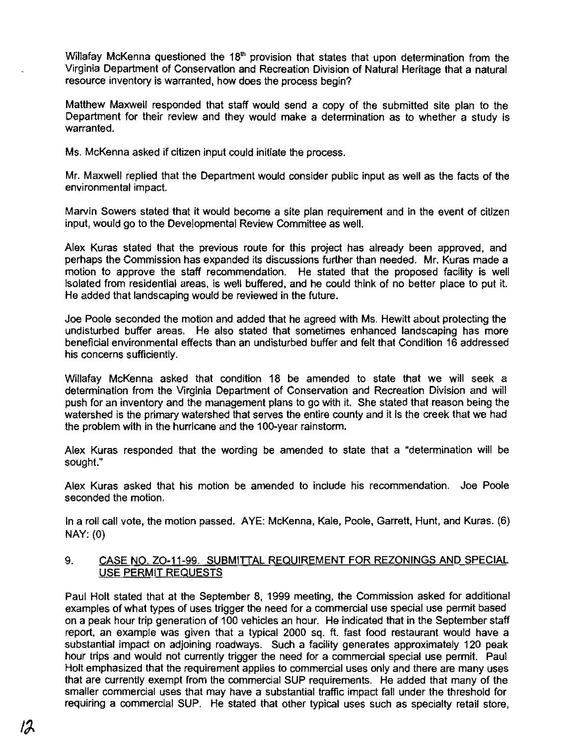Willafay McKenna questioned the 18<sup>th</sup> provision that states that upon determination from the Virginia Department of Conservation and Recreation Division of Natural Heritage that a natural resource inventory is warranted, how does the process begin?

Matthew Maxwell responded that staff would send a copy of the submitted site plan to the Department for their review and they would make a determination as to whether a study is warranted.

Ms. McKenna asked if citizen input could initiate the process.

Mr. Maxwell replied that the Department would consider public input as well as the facts of the environmental impact.

Marvin Sowers stated that it would become a site plan requirement and in the event of citizen input. would go to the Developmental Review Committee as well.

Alex Kuras stated that the previous route for this project has already been approved, and perhaps the Commission has expanded its discussions further than needed. Mr. Kuras made a motion to approve the staff recommendation. He stated that the proposed facility is well isolated from residential areas, is well buffered, and he could think of no better place to put it. He added that landscaping would be reviewed in the future.

Joe Poole seconded the motion and added that he agreed with Ms. Hewitt about protecting the undisturbed buffer areas. He also stated that sometimes enhanced landscaping has more beneficial environmental effects than an undisturbed buffer and felt that Condition 16 addressed his concerns sufficiently.

Willafay McKenna asked that condition 18 be amended to state that we will seek a determination from the Virginia Department of Conservation and Recreation Division and will push for an inventory and the management plans to go with it. She stated that reason being the watershed is the primary watershed that serves the entire county and it is the creek that we had the problem with in the hurricane and the 100-year rainstorm.

Alex Kuras responded that the wording be amended to state that a "determination will be sought."

Alex Kuras asked that his motion be amended to include his recommendation. Joe Poole seconded the motion.

In a roll call vote, the motion passed. AYE: McKenna, Kale, Poole, Garrett, Hunt, and Kuras. (6) NAY: (0)

### 9. CASE NO. ZO-11-99. SUBMITTAL REQUIREMENT FOR REZONINGS AND SPECIAL USE PERMIT REQUESTS

Paul Holt stated that at the September 8, 1999 meeting, the Commission asked for additional examples of what types of uses trigger the need for a commercial use special use permit based on a peak hour trip generation of 100 vehicles an hour. He indicated that in the September staff report. an example was given that a typical 2000 sq. ft. fast food restaurant would have a substantial impact on adjoining roadways. Such a facility generates approximately 120 peak hour trips and would not currently trigger the need for a commercial special use permit. Paul Holt emphasized that the requirement applies to commercial uses only and there are many uses that are currently exempt from the commercial SUP requirements. He added that many of the smaller commercial uses that may have a substantial traffic impact fall under the threshold for requiring a commercial SUP. He stated that other typical uses such as specialty retail store,